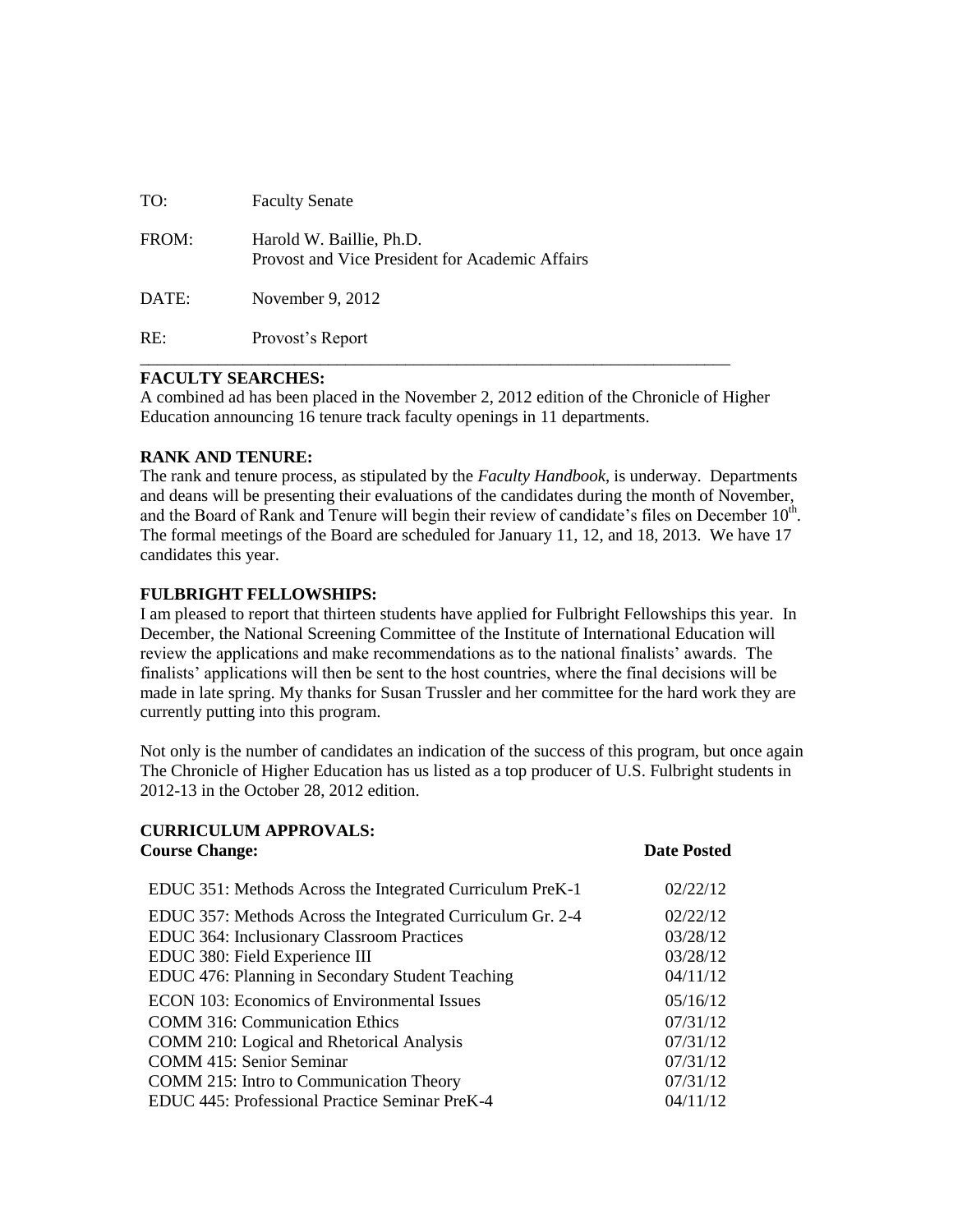| TO:   | <b>Faculty Senate</b>                                                       |
|-------|-----------------------------------------------------------------------------|
| FROM: | Harold W. Baillie, Ph.D.<br>Provost and Vice President for Academic Affairs |
| DATE: | November 9, 2012                                                            |
| RE:   | Provost's Report                                                            |

## **FACULTY SEARCHES:**

A combined ad has been placed in the November 2, 2012 edition of the Chronicle of Higher Education announcing 16 tenure track faculty openings in 11 departments.

## **RANK AND TENURE:**

The rank and tenure process, as stipulated by the *Faculty Handbook*, is underway. Departments and deans will be presenting their evaluations of the candidates during the month of November, and the Board of Rank and Tenure will begin their review of candidate's files on December  $10<sup>th</sup>$ . The formal meetings of the Board are scheduled for January 11, 12, and 18, 2013. We have 17 candidates this year.

## **FULBRIGHT FELLOWSHIPS:**

I am pleased to report that thirteen students have applied for Fulbright Fellowships this year. In December, the National Screening Committee of the Institute of International Education will review the applications and make recommendations as to the national finalists' awards. The finalists' applications will then be sent to the host countries, where the final decisions will be made in late spring. My thanks for Susan Trussler and her committee for the hard work they are currently putting into this program.

Not only is the number of candidates an indication of the success of this program, but once again The Chronicle of Higher Education has us listed as a top producer of U.S. Fulbright students in 2012-13 in the October 28, 2012 edition.

| <b>CURRICULUM APPROVALS:</b><br><b>Course Change:</b>      | <b>Date Posted</b> |
|------------------------------------------------------------|--------------------|
| EDUC 351: Methods Across the Integrated Curriculum PreK-1  | 02/22/12           |
| EDUC 357: Methods Across the Integrated Curriculum Gr. 2-4 | 02/22/12           |
| <b>EDUC 364: Inclusionary Classroom Practices</b>          | 03/28/12           |
| EDUC 380: Field Experience III                             | 03/28/12           |
| EDUC 476: Planning in Secondary Student Teaching           | 04/11/12           |
| <b>ECON 103: Economics of Environmental Issues</b>         | 05/16/12           |
| <b>COMM</b> 316: Communication Ethics                      | 07/31/12           |
| COMM 210: Logical and Rhetorical Analysis                  | 07/31/12           |
| <b>COMM 415: Senior Seminar</b>                            | 07/31/12           |
| COMM 215: Intro to Communication Theory                    | 07/31/12           |
| EDUC 445: Professional Practice Seminar PreK-4             | 04/11/12           |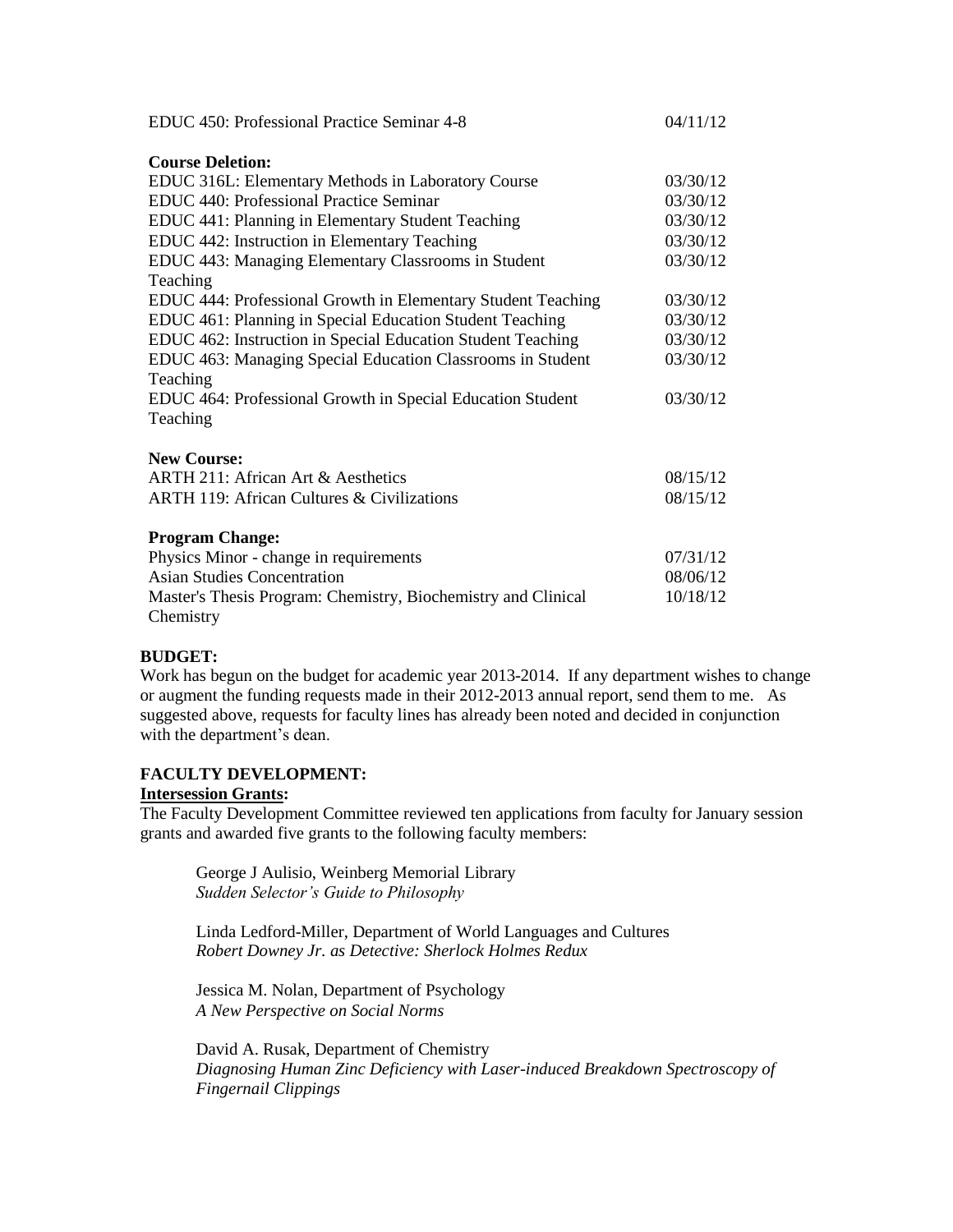| EDUC 450: Professional Practice Seminar 4-8                   | 04/11/12 |
|---------------------------------------------------------------|----------|
| <b>Course Deletion:</b>                                       |          |
| EDUC 316L: Elementary Methods in Laboratory Course            | 03/30/12 |
| EDUC 440: Professional Practice Seminar                       | 03/30/12 |
| EDUC 441: Planning in Elementary Student Teaching             | 03/30/12 |
| EDUC 442: Instruction in Elementary Teaching                  | 03/30/12 |
| EDUC 443: Managing Elementary Classrooms in Student           | 03/30/12 |
| Teaching                                                      |          |
| EDUC 444: Professional Growth in Elementary Student Teaching  | 03/30/12 |
| EDUC 461: Planning in Special Education Student Teaching      | 03/30/12 |
| EDUC 462: Instruction in Special Education Student Teaching   | 03/30/12 |
| EDUC 463: Managing Special Education Classrooms in Student    | 03/30/12 |
| Teaching                                                      |          |
| EDUC 464: Professional Growth in Special Education Student    | 03/30/12 |
| Teaching                                                      |          |
| <b>New Course:</b>                                            |          |
| ARTH 211: African Art & Aesthetics                            | 08/15/12 |
| <b>ARTH 119: African Cultures &amp; Civilizations</b>         | 08/15/12 |
|                                                               |          |
| <b>Program Change:</b>                                        |          |
| Physics Minor - change in requirements                        |          |
| <b>Asian Studies Concentration</b>                            | 08/06/12 |
| Master's Thesis Program: Chemistry, Biochemistry and Clinical |          |
| Chemistry                                                     |          |

### **BUDGET:**

Work has begun on the budget for academic year 2013-2014. If any department wishes to change or augment the funding requests made in their 2012-2013 annual report, send them to me. As suggested above, requests for faculty lines has already been noted and decided in conjunction with the department's dean.

### **FACULTY DEVELOPMENT:**

### **Intersession Grants:**

The Faculty Development Committee reviewed ten applications from faculty for January session grants and awarded five grants to the following faculty members:

George J Aulisio, Weinberg Memorial Library *Sudden Selector's Guide to Philosophy*

Linda Ledford-Miller, Department of World Languages and Cultures *Robert Downey Jr. as Detective: Sherlock Holmes Redux*

Jessica M. Nolan, Department of Psychology *A New Perspective on Social Norms*

David A. Rusak, Department of Chemistry *Diagnosing Human Zinc Deficiency with Laser-induced Breakdown Spectroscopy of Fingernail Clippings*